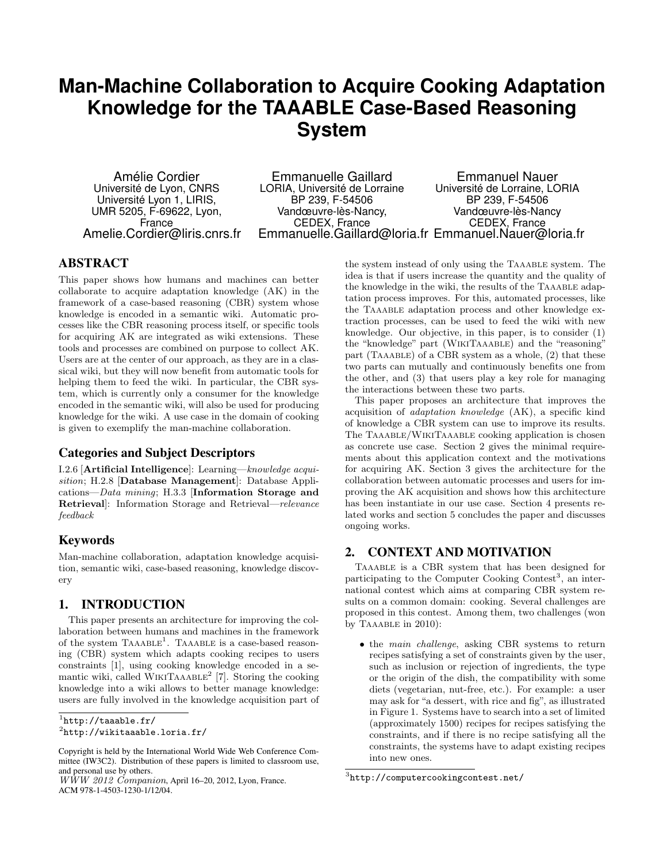# **Man-Machine Collaboration to Acquire Cooking Adaptation Knowledge for the TAAABLE Case-Based Reasoning System**

Amélie Cordier Université de Lyon, CNRS Université Lyon 1, LIRIS, UMR 5205, F-69622, Lyon, France Amelie.Cordier@liris.cnrs.fr

Emmanuelle Gaillard LORIA, Université de Lorraine BP 239, F-54506 Vandœuvre-lès-Nancy, CEDEX, France Emmanuelle.Gaillard@loria.fr Emmanuel.Nauer@loria.fr Emmanuel Nauer Université de Lorraine, LORIA BP 239, F-54506 Vandœuvre-lès-Nancy CEDEX, France

# ABSTRACT

This paper shows how humans and machines can better collaborate to acquire adaptation knowledge (AK) in the framework of a case-based reasoning (CBR) system whose knowledge is encoded in a semantic wiki. Automatic processes like the CBR reasoning process itself, or specific tools for acquiring AK are integrated as wiki extensions. These tools and processes are combined on purpose to collect AK. Users are at the center of our approach, as they are in a classical wiki, but they will now benefit from automatic tools for helping them to feed the wiki. In particular, the CBR system, which is currently only a consumer for the knowledge encoded in the semantic wiki, will also be used for producing knowledge for the wiki. A use case in the domain of cooking is given to exemplify the man-machine collaboration.

# Categories and Subject Descriptors

I.2.6 [Artificial Intelligence]: Learning—knowledge acquisition; H.2.8 [Database Management]: Database Applications—Data mining; H.3.3 [Information Storage and Retrieval]: Information Storage and Retrieval—relevance feedback

# Keywords

Man-machine collaboration, adaptation knowledge acquisition, semantic wiki, case-based reasoning, knowledge discovery

# 1. INTRODUCTION

This paper presents an architecture for improving the collaboration between humans and machines in the framework of the system  $TAAABLE<sup>1</sup>$ . TAAABLE is a case-based reasoning (CBR) system which adapts cooking recipes to users constraints [1], using cooking knowledge encoded in a semantic wiki, called WIKITAAABLE<sup>2</sup> [7]. Storing the cooking knowledge into a wiki allows to better manage knowledge: users are fully involved in the knowledge acquisition part of

WWW 2012 Companion, April 16–20, 2012, Lyon, France. ACM 978-1-4503-1230-1/12/04.

the system instead of only using the TAAABLE system. The idea is that if users increase the quantity and the quality of the knowledge in the wiki, the results of the TAAABLE adaptation process improves. For this, automated processes, like the TAAABLE adaptation process and other knowledge extraction processes, can be used to feed the wiki with new knowledge. Our objective, in this paper, is to consider (1) the "knowledge" part (WIKITAAABLE) and the "reasoning" part (TAAABLE) of a CBR system as a whole,  $(2)$  that these two parts can mutually and continuously benefits one from the other, and (3) that users play a key role for managing the interactions between these two parts.

This paper proposes an architecture that improves the acquisition of adaptation knowledge (AK), a specific kind of knowledge a CBR system can use to improve its results. The TAAABLE/WIKITAAABLE cooking application is chosen as concrete use case. Section 2 gives the minimal requirements about this application context and the motivations for acquiring AK. Section 3 gives the architecture for the collaboration between automatic processes and users for improving the AK acquisition and shows how this architecture has been instantiate in our use case. Section 4 presents related works and section 5 concludes the paper and discusses ongoing works.

# 2. CONTEXT AND MOTIVATION

Taaable is a CBR system that has been designed for participating to the Computer Cooking Contest<sup>3</sup>, an international contest which aims at comparing CBR system results on a common domain: cooking. Several challenges are proposed in this contest. Among them, two challenges (won by TAAABLE in 2010):

• the main challenge, asking CBR systems to return recipes satisfying a set of constraints given by the user, such as inclusion or rejection of ingredients, the type or the origin of the dish, the compatibility with some diets (vegetarian, nut-free, etc.). For example: a user may ask for "a dessert, with rice and fig", as illustrated in Figure 1. Systems have to search into a set of limited (approximately 1500) recipes for recipes satisfying the constraints, and if there is no recipe satisfying all the constraints, the systems have to adapt existing recipes into new ones.

 $^1$ http://taaable.fr/

 $^{2}$ http://wikitaaable.loria.fr/

Copyright is held by the International World Wide Web Conference Committee (IW3C2). Distribution of these papers is limited to classroom use, and personal use by others.

 ${}^{3}$ http://computercookingcontest.net/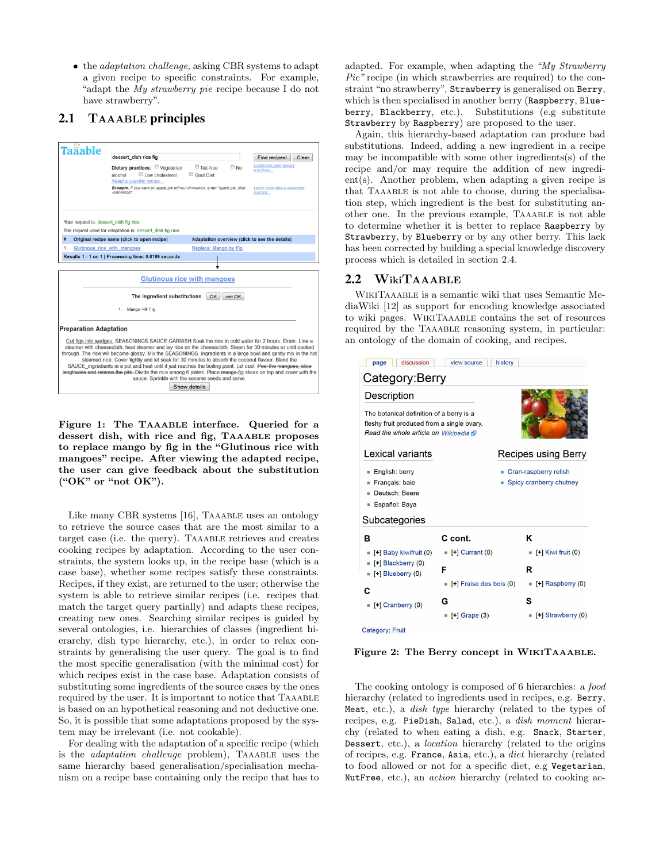• the adaptation challenge, asking CBR systems to adapt a given recipe to specific constraints. For example, "adapt the  $My$  strawberry pie recipe because I do not have strawberry".

# 2.1 TAAABLE principles



Figure 1: The TAAABLE interface. Queried for a dessert dish, with rice and fig, TAAABLE proposes to replace mango by fig in the "Glutinous rice with mangoes" recipe. After viewing the adapted recipe, the user can give feedback about the substitution ("OK" or "not OK").

Like many CBR systems [16], TAAABLE uses an ontology to retrieve the source cases that are the most similar to a target case (i.e. the query). TAAABLE retrieves and creates cooking recipes by adaptation. According to the user constraints, the system looks up, in the recipe base (which is a case base), whether some recipes satisfy these constraints. Recipes, if they exist, are returned to the user; otherwise the system is able to retrieve similar recipes (i.e. recipes that match the target query partially) and adapts these recipes, creating new ones. Searching similar recipes is guided by several ontologies, i.e. hierarchies of classes (ingredient hierarchy, dish type hierarchy, etc.), in order to relax constraints by generalising the user query. The goal is to find the most specific generalisation (with the minimal cost) for which recipes exist in the case base. Adaptation consists of substituting some ingredients of the source cases by the ones required by the user. It is important to notice that TAAABLE is based on an hypothetical reasoning and not deductive one. So, it is possible that some adaptations proposed by the system may be irrelevant (i.e. not cookable).

For dealing with the adaptation of a specific recipe (which is the *adaptation challenge* problem), TAAABLE uses the same hierarchy based generalisation/specialisation mechanism on a recipe base containing only the recipe that has to

adapted. For example, when adapting the "My Strawberry Pie" recipe (in which strawberries are required) to the constraint "no strawberry", Strawberry is generalised on Berry, which is then specialised in another berry (Raspberry, Blueberry, Blackberry, etc.). Substitutions (e.g substitute Strawberry by Raspberry) are proposed to the user.

Again, this hierarchy-based adaptation can produce bad substitutions. Indeed, adding a new ingredient in a recipe may be incompatible with some other ingredients(s) of the recipe and/or may require the addition of new ingredient(s). Another problem, when adapting a given recipe is that TAAABLE is not able to choose, during the specialisation step, which ingredient is the best for substituting another one. In the previous example, TAAABLE is not able to determine whether it is better to replace Raspberry by Strawberry, by Blueberry or by any other berry. This lack has been corrected by building a special knowledge discovery process which is detailed in section 2.4.

### 2.2 WikiTAAABLE

WikiTaaable is a semantic wiki that uses Semantic MediaWiki [12] as support for encoding knowledge associated to wiki pages. WikiTaaable contains the set of resources required by the TAAABLE reasoning system, in particular: an ontology of the domain of cooking, and recipes.

|                                            | history                        |                                       |
|--------------------------------------------|--------------------------------|---------------------------------------|
| Category:Berry                             |                                |                                       |
| Description                                |                                |                                       |
| The botanical definition of a berry is a   |                                |                                       |
| fleshy fruit produced from a single ovary. |                                |                                       |
| Read the whole article on Wikipedia &      |                                |                                       |
| Lexical variants                           |                                | Recipes using Berry                   |
| English: berry                             | Cran-raspberry relish          |                                       |
| Français: baie                             | Spicy cranberry chutney        |                                       |
| Deutsch: Beere                             |                                |                                       |
|                                            |                                |                                       |
| Español: Baya<br>ш                         |                                |                                       |
|                                            |                                |                                       |
| B                                          | C cont.                        | ĸ                                     |
| [+] Baby kiwifruit (0)                     | $\blacksquare$ [+] Currant (0) | $\blacksquare$ [+] Kiwi fruit (0)     |
| [+] Blackberry (0)                         |                                |                                       |
| $\blacksquare$ [+] Blueberry (0)           | F                              | R                                     |
| c                                          | [+] Fraise des bois (0)        |                                       |
| Subcategories                              | G                              | $\blacksquare$ [+] Raspberry (0)<br>S |
| [+] Cranberry (0)                          | $[+]$ Grape $(3)$              | [+] Strawberry (0)                    |

Figure 2: The Berry concept in WIKITAAABLE.

The cooking ontology is composed of 6 hierarchies: a food hierarchy (related to ingredients used in recipes, e.g. Berry, Meat, etc.), a dish type hierarchy (related to the types of recipes, e.g. PieDish, Salad, etc.), a dish moment hierarchy (related to when eating a dish, e.g. Snack, Starter, Dessert, etc.), a location hierarchy (related to the origins of recipes, e.g. France, Asia, etc.), a diet hierarchy (related to food allowed or not for a specific diet, e.g Vegetarian, NutFree, etc.), an action hierarchy (related to cooking ac-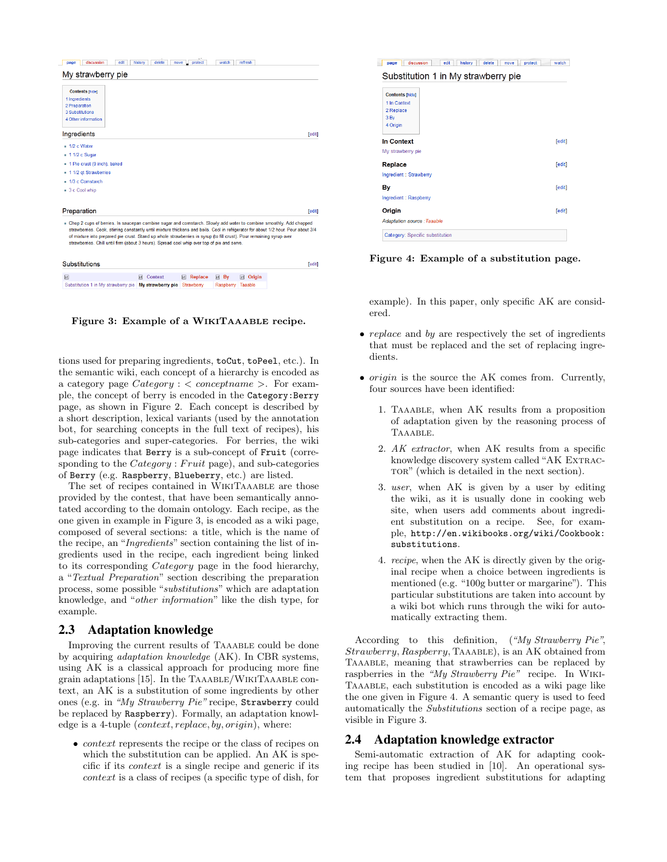

Figure 3: Example of a WIKITAAABLE recipe.

tions used for preparing ingredients, toCut, toPeel, etc.). In the semantic wiki, each concept of a hierarchy is encoded as a category page  $Category : < conceptual>conceptname>$ . For example, the concept of berry is encoded in the Category:Berry page, as shown in Figure 2. Each concept is described by a short description, lexical variants (used by the annotation bot, for searching concepts in the full text of recipes), his sub-categories and super-categories. For berries, the wiki page indicates that Berry is a sub-concept of Fruit (corresponding to the  $Category: Fruit$  page), and sub-categories of Berry (e.g. Raspberry, Blueberry, etc.) are listed.

The set of recipes contained in WIKITAAABLE are those provided by the contest, that have been semantically annotated according to the domain ontology. Each recipe, as the one given in example in Figure 3, is encoded as a wiki page, composed of several sections: a title, which is the name of the recipe, an "Ingredients" section containing the list of ingredients used in the recipe, each ingredient being linked to its corresponding Category page in the food hierarchy, a "Textual Preparation" section describing the preparation process, some possible "substitutions" which are adaptation knowledge, and "other information" like the dish type, for example.

### 2.3 Adaptation knowledge

Improving the current results of TAAABLE could be done by acquiring adaptation knowledge (AK). In CBR systems, using AK is a classical approach for producing more fine grain adaptations [15]. In the TAAABLE/WIKITAAABLE context, an AK is a substitution of some ingredients by other ones (e.g. in "My Strawberry Pie" recipe, Strawberry could be replaced by Raspberry). Formally, an adaptation knowledge is a 4-tuple (context, replace, by, origin), where:

• *context* represents the recipe or the class of recipes on which the substitution can be applied. An AK is specific if its context is a single recipe and generic if its context is a class of recipes (a specific type of dish, for

page discussion edit history delete move protect watch Substitution 1 in My strawberry pie Contents this 1 In Context 2 Replace 3 By 4 Origin In Context [edit] My strawberry pie Replace [edit] Ingredient : Strawberry By [edit] Ingredient : Raspberry Origin [edit] Adaptation source : Taaable Category: Specific substitution

Figure 4: Example of a substitution page.

example). In this paper, only specific AK are considered.

- $\bullet$  *replace* and by are respectively the set of ingredients that must be replaced and the set of replacing ingredients.
- origin is the source the AK comes from. Currently, four sources have been identified:
	- 1. Taaable, when AK results from a proposition of adaptation given by the reasoning process of Taaable.
	- 2. AK extractor, when AK results from a specific knowledge discovery system called "AK EXTRAC-TOR" (which is detailed in the next section).
	- 3. user, when AK is given by a user by editing the wiki, as it is usually done in cooking web site, when users add comments about ingredient substitution on a recipe. See, for example, http://en.wikibooks.org/wiki/Cookbook: substitutions.
	- 4. recipe, when the AK is directly given by the original recipe when a choice between ingredients is mentioned (e.g. "100g butter or margarine"). This particular substitutions are taken into account by a wiki bot which runs through the wiki for automatically extracting them.

According to this definition, ("My Strawberry Pie", Strawberry, Raspberry, TAAABLE), is an AK obtained from TAAABLE, meaning that strawberries can be replaced by raspberries in the "My Strawberry Pie" recipe. In Wiki-TAAABLE, each substitution is encoded as a wiki page like the one given in Figure 4. A semantic query is used to feed automatically the Substitutions section of a recipe page, as visible in Figure 3.

# 2.4 Adaptation knowledge extractor

Semi-automatic extraction of AK for adapting cooking recipe has been studied in [10]. An operational system that proposes ingredient substitutions for adapting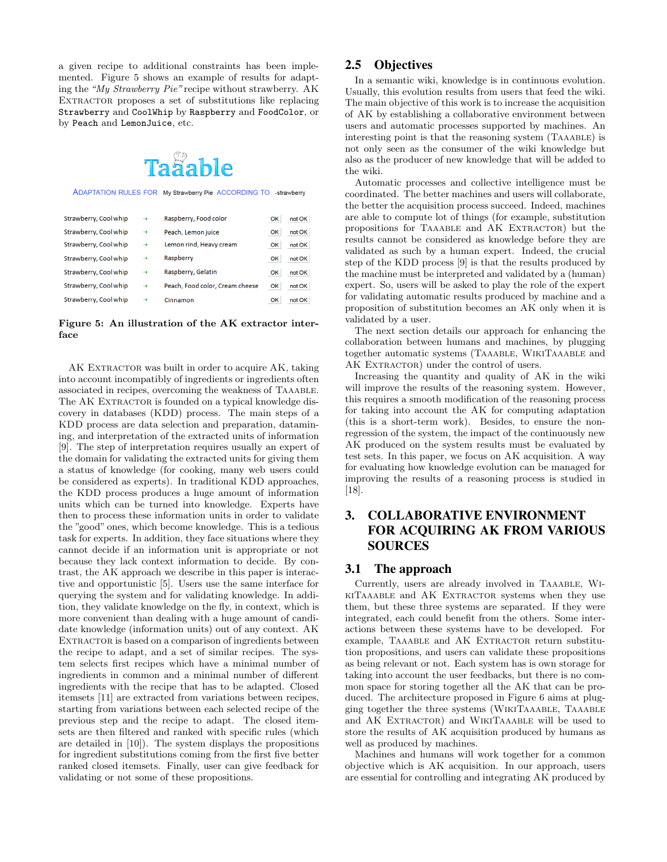a given recipe to additional constraints has been implemented. Figure 5 shows an example of results for adapting the "My Strawberry Pie" recipe without strawberry. AK EXTRACTOR proposes a set of substitutions like replacing Strawberry and CoolWhip by Raspberry and FoodColor, or by Peach and LemonJuice, etc.



ADAPTATION RULES FOR My Strawberry Pie ACCORDING TO -strawberry

| Strawberry, Cool whip | $\rightarrow$ | Raspberry, Food color           | OK | not OK |
|-----------------------|---------------|---------------------------------|----|--------|
| Strawberry, Cool whip | $\rightarrow$ | Peach, Lemon juice              | OK | not OK |
| Strawberry, Cool whip | $\rightarrow$ | Lemon rind, Heavy cream         | OK | not OK |
| Strawberry, Cool whip | $\rightarrow$ | Raspberry                       | OK | not OK |
| Strawberry, Cool whip | $\rightarrow$ | Raspberry, Gelatin              | OK | not OK |
| Strawberry, Cool whip | $\rightarrow$ | Peach, Food color, Cream cheese | OK | not OK |
| Strawberry, Cool whip | $\rightarrow$ | Cinnamon                        | ОК | not OK |

Figure 5: An illustration of the AK extractor interface

AK EXTRACTOR was built in order to acquire AK, taking into account incompatibly of ingredients or ingredients often associated in recipes, overcoming the weakness of TAAABLE. The AK EXTRACTOR is founded on a typical knowledge discovery in databases (KDD) process. The main steps of a KDD process are data selection and preparation, datamining, and interpretation of the extracted units of information [9]. The step of interpretation requires usually an expert of the domain for validating the extracted units for giving them a status of knowledge (for cooking, many web users could be considered as experts). In traditional KDD approaches, the KDD process produces a huge amount of information units which can be turned into knowledge. Experts have then to process these information units in order to validate the "good" ones, which become knowledge. This is a tedious task for experts. In addition, they face situations where they cannot decide if an information unit is appropriate or not because they lack context information to decide. By contrast, the AK approach we describe in this paper is interactive and opportunistic [5]. Users use the same interface for querying the system and for validating knowledge. In addition, they validate knowledge on the fly, in context, which is more convenient than dealing with a huge amount of candidate knowledge (information units) out of any context. AK EXTRACTOR is based on a comparison of ingredients between the recipe to adapt, and a set of similar recipes. The system selects first recipes which have a minimal number of ingredients in common and a minimal number of different ingredients with the recipe that has to be adapted. Closed itemsets [11] are extracted from variations between recipes, starting from variations between each selected recipe of the previous step and the recipe to adapt. The closed itemsets are then filtered and ranked with specific rules (which are detailed in [10]). The system displays the propositions for ingredient substitutions coming from the first five better ranked closed itemsets. Finally, user can give feedback for validating or not some of these propositions.

### 2.5 Objectives

In a semantic wiki, knowledge is in continuous evolution. Usually, this evolution results from users that feed the wiki. The main objective of this work is to increase the acquisition of AK by establishing a collaborative environment between users and automatic processes supported by machines. An interesting point is that the reasoning system (TAAABLE) is not only seen as the consumer of the wiki knowledge but also as the producer of new knowledge that will be added to the wiki.

Automatic processes and collective intelligence must be coordinated. The better machines and users will collaborate, the better the acquisition process succeed. Indeed, machines are able to compute lot of things (for example, substitution propositions for TAAABLE and AK EXTRACTOR) but the results cannot be considered as knowledge before they are validated as such by a human expert. Indeed, the crucial step of the KDD process [9] is that the results produced by the machine must be interpreted and validated by a (human) expert. So, users will be asked to play the role of the expert for validating automatic results produced by machine and a proposition of substitution becomes an AK only when it is validated by a user.

The next section details our approach for enhancing the collaboration between humans and machines, by plugging together automatic systems (Taaable, WikiTaaable and AK EXTRACTOR) under the control of users.

Increasing the quantity and quality of AK in the wiki will improve the results of the reasoning system. However, this requires a smooth modification of the reasoning process for taking into account the AK for computing adaptation (this is a short-term work). Besides, to ensure the nonregression of the system, the impact of the continuously new AK produced on the system results must be evaluated by test sets. In this paper, we focus on AK acquisition. A way for evaluating how knowledge evolution can be managed for improving the results of a reasoning process is studied in [18].

# 3. COLLABORATIVE ENVIRONMENT FOR ACQUIRING AK FROM VARIOUS SOURCES

### 3.1 The approach

Currently, users are already involved in Taaable, Wi-KITAAABLE and AK EXTRACTOR systems when they use them, but these three systems are separated. If they were integrated, each could benefit from the others. Some interactions between these systems have to be developed. For example, TAAABLE and AK EXTRACTOR return substitution propositions, and users can validate these propositions as being relevant or not. Each system has is own storage for taking into account the user feedbacks, but there is no common space for storing together all the AK that can be produced. The architecture proposed in Figure 6 aims at plugging together the three systems (WikiTaaable, Taaable and AK EXTRACTOR) and WIKITAAABLE will be used to store the results of AK acquisition produced by humans as well as produced by machines.

Machines and humans will work together for a common objective which is AK acquisition. In our approach, users are essential for controlling and integrating AK produced by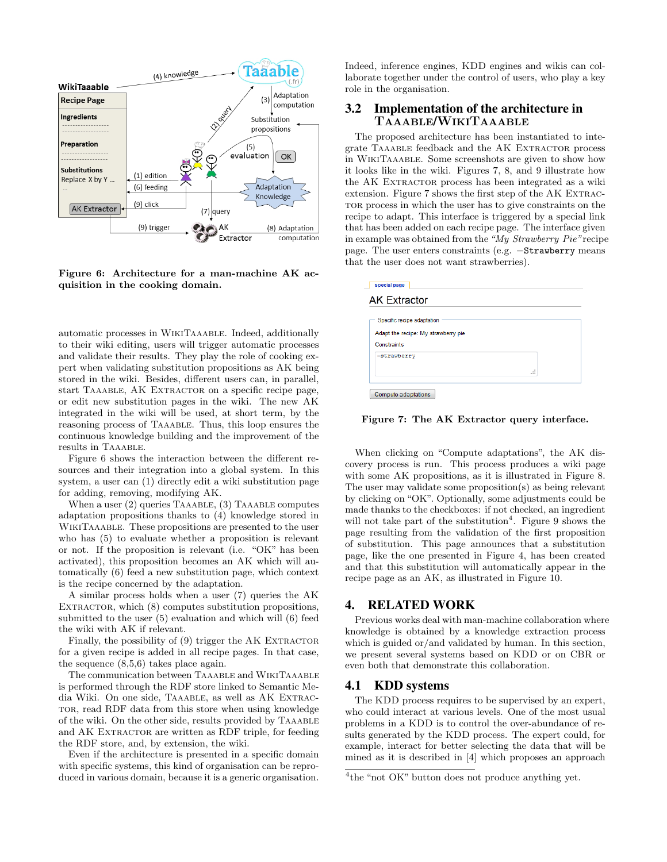

Figure 6: Architecture for a man-machine AK acquisition in the cooking domain.

automatic processes in WIKITAAABLE. Indeed, additionally to their wiki editing, users will trigger automatic processes and validate their results. They play the role of cooking expert when validating substitution propositions as AK being stored in the wiki. Besides, different users can, in parallel, start TAAABLE, AK EXTRACTOR on a specific recipe page, or edit new substitution pages in the wiki. The new AK integrated in the wiki will be used, at short term, by the reasoning process of TAAABLE. Thus, this loop ensures the continuous knowledge building and the improvement of the results in TAAABLE.

Figure 6 shows the interaction between the different resources and their integration into a global system. In this system, a user can (1) directly edit a wiki substitution page for adding, removing, modifying AK.

When a user  $(2)$  queries TAAABLE,  $(3)$  TAAABLE computes adaptation propositions thanks to (4) knowledge stored in WIKITAAABLE. These propositions are presented to the user who has (5) to evaluate whether a proposition is relevant or not. If the proposition is relevant (i.e. "OK" has been activated), this proposition becomes an AK which will automatically (6) feed a new substitution page, which context is the recipe concerned by the adaptation.

A similar process holds when a user (7) queries the AK EXTRACTOR, which  $(8)$  computes substitution propositions, submitted to the user (5) evaluation and which will (6) feed the wiki with AK if relevant.

Finally, the possibility of  $(9)$  trigger the AK EXTRACTOR for a given recipe is added in all recipe pages. In that case, the sequence (8,5,6) takes place again.

The communication between TAAABLE and WIKITAAABLE is performed through the RDF store linked to Semantic Media Wiki. On one side, TAAABLE, as well as AK EXTRACtor, read RDF data from this store when using knowledge of the wiki. On the other side, results provided by Taaable and AK EXTRACTOR are written as RDF triple, for feeding the RDF store, and, by extension, the wiki.

Even if the architecture is presented in a specific domain with specific systems, this kind of organisation can be reproduced in various domain, because it is a generic organisation. Indeed, inference engines, KDD engines and wikis can collaborate together under the control of users, who play a key role in the organisation.

### 3.2 Implementation of the architecture in TAAABLE/WIKITAAABLE

The proposed architecture has been instantiated to integrate TAAABLE feedback and the AK EXTRACTOR process in WikiTaaable. Some screenshots are given to show how it looks like in the wiki. Figures 7, 8, and 9 illustrate how the AK EXTRACTOR process has been integrated as a wiki extension. Figure 7 shows the first step of the AK EXTRAC-TOR process in which the user has to give constraints on the recipe to adapt. This interface is triggered by a special link that has been added on each recipe page. The interface given in example was obtained from the"My Strawberry Pie"recipe page. The user enters constraints (e.g. −Strawberry means that the user does not want strawberries).

| <b>AK Extractor</b>                 |     |  |
|-------------------------------------|-----|--|
| Specific recipe adaptation          |     |  |
| Adapt the recipe: My strawberry pie |     |  |
| Constraints                         |     |  |
| -strawberry                         |     |  |
|                                     | aî. |  |



When clicking on "Compute adaptations", the AK discovery process is run. This process produces a wiki page with some AK propositions, as it is illustrated in Figure 8. The user may validate some proposition(s) as being relevant by clicking on "OK". Optionally, some adjustments could be made thanks to the checkboxes: if not checked, an ingredient will not take part of the substitution<sup>4</sup>. Figure 9 shows the page resulting from the validation of the first proposition of substitution. This page announces that a substitution page, like the one presented in Figure 4, has been created and that this substitution will automatically appear in the recipe page as an AK, as illustrated in Figure 10.

### 4. RELATED WORK

Previous works deal with man-machine collaboration where knowledge is obtained by a knowledge extraction process which is guided or/and validated by human. In this section, we present several systems based on KDD or on CBR or even both that demonstrate this collaboration.

### 4.1 KDD systems

The KDD process requires to be supervised by an expert, who could interact at various levels. One of the most usual problems in a KDD is to control the over-abundance of results generated by the KDD process. The expert could, for example, interact for better selecting the data that will be mined as it is described in [4] which proposes an approach

<sup>&</sup>lt;sup>4</sup>the "not OK" button does not produce anything yet.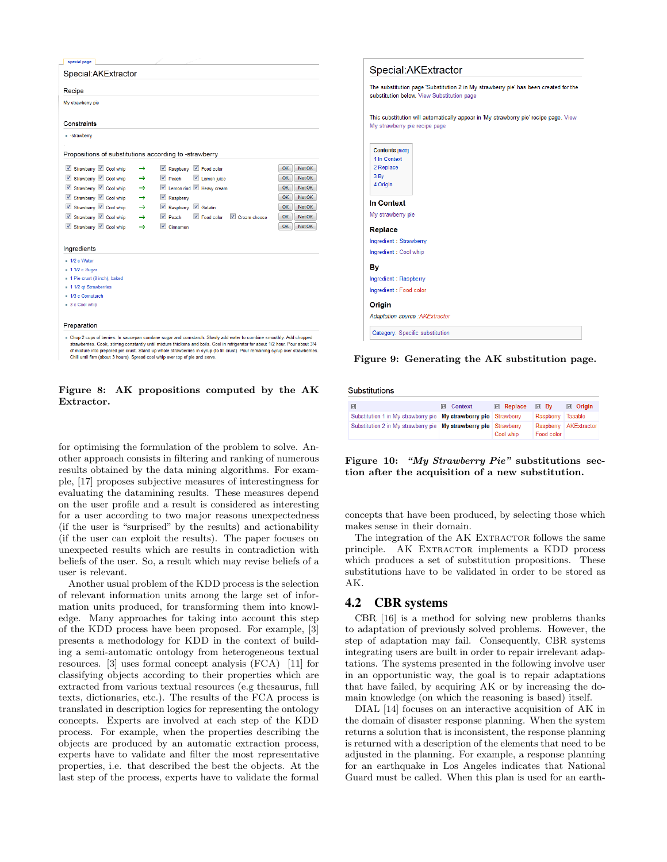| Recipe                                                 |   |                            |                                    |                         |                     |
|--------------------------------------------------------|---|----------------------------|------------------------------------|-------------------------|---------------------|
| My strawberry pie                                      |   |                            |                                    |                         |                     |
| Constraints                                            |   |                            |                                    |                         |                     |
| - strawberry                                           |   |                            |                                    |                         |                     |
| Propositions of substitutions according to -strawberry |   |                            |                                    |                         |                     |
|                                                        |   |                            |                                    |                         |                     |
| Strawberry Cool whip                                   | → | $\vee$ Raspberry           | $\overline{\mathbf{V}}$ Food color |                         | OK<br>Not OK        |
| <b>√</b> Strawberry <b>√</b> Cool whip                 | → | $\sqrt{P}$ Peach           | Lemon juice                        |                         | Not OK<br>ок        |
| √ Strawberry √ Cool whip                               | → |                            | √ Lemon rind √ Heavy cream         |                         | Not OK<br>ОΚ        |
| Strawberry Cool whip                                   | → | Raspberry                  |                                    |                         | Not OK<br>OK        |
| ✔ Strawberry ✔ Cool whip                               | → | Raspberry Gelatin          |                                    |                         | Not OK<br><b>OK</b> |
| V Strawberry V Cool whip                               | → | $\sqrt{\phantom{a}}$ Peach | $\sqrt{\phantom{a}}$ Food color    | $\sqrt{C}$ Cream cheese | Not OK<br>ΟК        |
| V Strawberry V Cool whip                               | → | $\vee$ Cinnamon            |                                    |                         | OK<br>Not OK        |
| Ingredients                                            |   |                            |                                    |                         |                     |
| $-1/2$ c Water                                         |   |                            |                                    |                         |                     |
| = 1 1/2 c Sugar                                        |   |                            |                                    |                         |                     |
| = 1 Pie crust (9 inch), baked                          |   |                            |                                    |                         |                     |
| = 1 1/2 ot Strawberries                                |   |                            |                                    |                         |                     |
| ■ 1/3 c Comstarch                                      |   |                            |                                    |                         |                     |
| 3 c Cool whip                                          |   |                            |                                    |                         |                     |
| Preparation                                            |   |                            |                                    |                         |                     |

Figure 8: AK propositions computed by the AK Extractor.

for optimising the formulation of the problem to solve. Another approach consists in filtering and ranking of numerous results obtained by the data mining algorithms. For example, [17] proposes subjective measures of interestingness for evaluating the datamining results. These measures depend on the user profile and a result is considered as interesting for a user according to two major reasons unexpectedness (if the user is "surprised" by the results) and actionability (if the user can exploit the results). The paper focuses on unexpected results which are results in contradiction with beliefs of the user. So, a result which may revise beliefs of a user is relevant.

Another usual problem of the KDD process is the selection of relevant information units among the large set of information units produced, for transforming them into knowledge. Many approaches for taking into account this step of the KDD process have been proposed. For example, [3] presents a methodology for KDD in the context of building a semi-automatic ontology from heterogeneous textual resources. [3] uses formal concept analysis (FCA) [11] for classifying objects according to their properties which are extracted from various textual resources (e.g thesaurus, full texts, dictionaries, etc.). The results of the FCA process is translated in description logics for representing the ontology concepts. Experts are involved at each step of the KDD process. For example, when the properties describing the objects are produced by an automatic extraction process, experts have to validate and filter the most representative properties, i.e. that described the best the objects. At the last step of the process, experts have to validate the formal

# Special:AKExtractor The substitution page 'Substitution 2 in My strawberry pie' has been created for the substitution below View Substitution page This substitution will automatically appear in 'My strawberry pie' recipe page. View My strawberry pie recipe page **Contents [hide]** 1 In Context 2 Replace 3 By 4 Origin In Context My strawberry pie Replace Ingredient: Strawberry Ingredient : Cool whip **Bv** Ingredient: Raspberry Ingredient : Food color Origin Adaptation source : AKExtractor Category: Specific substitution

Figure 9: Generating the AK substitution page.

Substitutions

| $\blacktriangleright$                                            | <b>M</b> Context | <b>网</b> Replace | $M$ By            | M Origin              |
|------------------------------------------------------------------|------------------|------------------|-------------------|-----------------------|
| Substitution 1 in My strawberry pie My strawberry pie Strawberry |                  |                  | Raspberry Taaable |                       |
| Substitution 2 in My strawberry pie My strawberry pie Strawberry |                  | Cool whip        | Food color        | Raspberry AKExtractor |

Figure 10: "My Strawberry Pie" substitutions section after the acquisition of a new substitution.

concepts that have been produced, by selecting those which makes sense in their domain.

The integration of the AK EXTRACTOR follows the same principle. AK EXTRACTOR implements a KDD process which produces a set of substitution propositions. These substitutions have to be validated in order to be stored as AK.

### 4.2 CBR systems

CBR [16] is a method for solving new problems thanks to adaptation of previously solved problems. However, the step of adaptation may fail. Consequently, CBR systems integrating users are built in order to repair irrelevant adaptations. The systems presented in the following involve user in an opportunistic way, the goal is to repair adaptations that have failed, by acquiring AK or by increasing the domain knowledge (on which the reasoning is based) itself.

DIAL [14] focuses on an interactive acquisition of AK in the domain of disaster response planning. When the system returns a solution that is inconsistent, the response planning is returned with a description of the elements that need to be adjusted in the planning. For example, a response planning for an earthquake in Los Angeles indicates that National Guard must be called. When this plan is used for an earth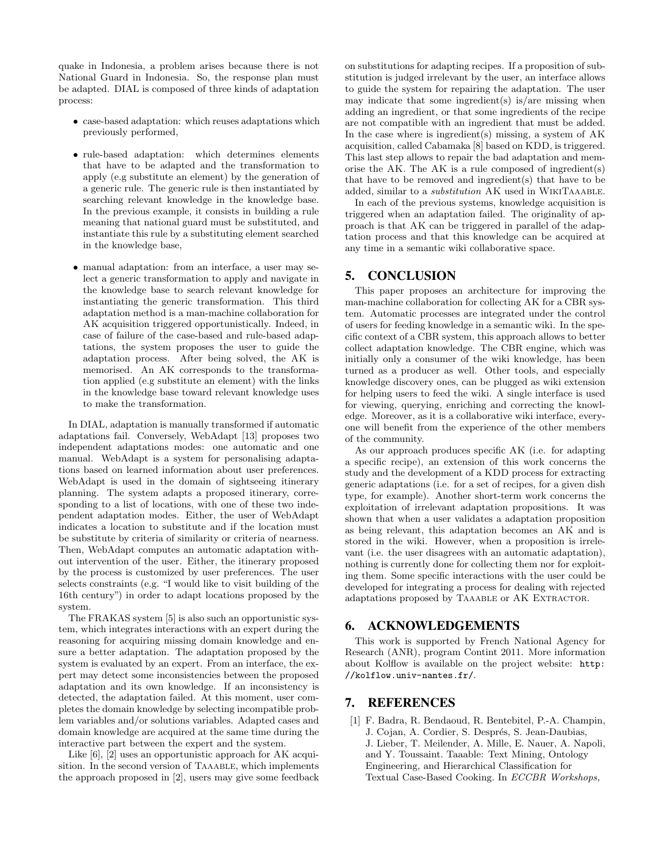quake in Indonesia, a problem arises because there is not National Guard in Indonesia. So, the response plan must be adapted. DIAL is composed of three kinds of adaptation process:

- case-based adaptation: which reuses adaptations which previously performed,
- rule-based adaptation: which determines elements that have to be adapted and the transformation to apply (e.g substitute an element) by the generation of a generic rule. The generic rule is then instantiated by searching relevant knowledge in the knowledge base. In the previous example, it consists in building a rule meaning that national guard must be substituted, and instantiate this rule by a substituting element searched in the knowledge base,
- manual adaptation: from an interface, a user may select a generic transformation to apply and navigate in the knowledge base to search relevant knowledge for instantiating the generic transformation. This third adaptation method is a man-machine collaboration for AK acquisition triggered opportunistically. Indeed, in case of failure of the case-based and rule-based adaptations, the system proposes the user to guide the adaptation process. After being solved, the AK is memorised. An AK corresponds to the transformation applied (e.g substitute an element) with the links in the knowledge base toward relevant knowledge uses to make the transformation.

In DIAL, adaptation is manually transformed if automatic adaptations fail. Conversely, WebAdapt [13] proposes two independent adaptations modes: one automatic and one manual. WebAdapt is a system for personalising adaptations based on learned information about user preferences. WebAdapt is used in the domain of sightseeing itinerary planning. The system adapts a proposed itinerary, corresponding to a list of locations, with one of these two independent adaptation modes. Either, the user of WebAdapt indicates a location to substitute and if the location must be substitute by criteria of similarity or criteria of nearness. Then, WebAdapt computes an automatic adaptation without intervention of the user. Either, the itinerary proposed by the process is customized by user preferences. The user selects constraints (e.g. "I would like to visit building of the 16th century") in order to adapt locations proposed by the system.

The FRAKAS system [5] is also such an opportunistic system, which integrates interactions with an expert during the reasoning for acquiring missing domain knowledge and ensure a better adaptation. The adaptation proposed by the system is evaluated by an expert. From an interface, the expert may detect some inconsistencies between the proposed adaptation and its own knowledge. If an inconsistency is detected, the adaptation failed. At this moment, user completes the domain knowledge by selecting incompatible problem variables and/or solutions variables. Adapted cases and domain knowledge are acquired at the same time during the interactive part between the expert and the system.

Like [6], [2] uses an opportunistic approach for AK acquisition. In the second version of TAAABLE, which implements the approach proposed in [2], users may give some feedback

on substitutions for adapting recipes. If a proposition of substitution is judged irrelevant by the user, an interface allows to guide the system for repairing the adaptation. The user may indicate that some ingredient(s) is/are missing when adding an ingredient, or that some ingredients of the recipe are not compatible with an ingredient that must be added. In the case where is ingredient(s) missing, a system of AK acquisition, called Cabamaka [8] based on KDD, is triggered. This last step allows to repair the bad adaptation and memorise the AK. The AK is a rule composed of ingredient(s) that have to be removed and ingredient(s) that have to be added, similar to a *substitution* AK used in WIKITAAABLE.

In each of the previous systems, knowledge acquisition is triggered when an adaptation failed. The originality of approach is that AK can be triggered in parallel of the adaptation process and that this knowledge can be acquired at any time in a semantic wiki collaborative space.

### 5. CONCLUSION

This paper proposes an architecture for improving the man-machine collaboration for collecting AK for a CBR system. Automatic processes are integrated under the control of users for feeding knowledge in a semantic wiki. In the specific context of a CBR system, this approach allows to better collect adaptation knowledge. The CBR engine, which was initially only a consumer of the wiki knowledge, has been turned as a producer as well. Other tools, and especially knowledge discovery ones, can be plugged as wiki extension for helping users to feed the wiki. A single interface is used for viewing, querying, enriching and correcting the knowledge. Moreover, as it is a collaborative wiki interface, everyone will benefit from the experience of the other members of the community.

As our approach produces specific AK (i.e. for adapting a specific recipe), an extension of this work concerns the study and the development of a KDD process for extracting generic adaptations (i.e. for a set of recipes, for a given dish type, for example). Another short-term work concerns the exploitation of irrelevant adaptation propositions. It was shown that when a user validates a adaptation proposition as being relevant, this adaptation becomes an AK and is stored in the wiki. However, when a proposition is irrelevant (i.e. the user disagrees with an automatic adaptation), nothing is currently done for collecting them nor for exploiting them. Some specific interactions with the user could be developed for integrating a process for dealing with rejected adaptations proposed by TAAABLE or AK EXTRACTOR.

### 6. ACKNOWLEDGEMENTS

This work is supported by French National Agency for Research (ANR), program Contint 2011. More information about Kolflow is available on the project website: http: //kolflow.univ-nantes.fr/.

### 7. REFERENCES

[1] F. Badra, R. Bendaoud, R. Bentebitel, P.-A. Champin, J. Cojan, A. Cordier, S. Després, S. Jean-Daubias, J. Lieber, T. Meilender, A. Mille, E. Nauer, A. Napoli, and Y. Toussaint. Taaable: Text Mining, Ontology Engineering, and Hierarchical Classification for Textual Case-Based Cooking. In ECCBR Workshops,